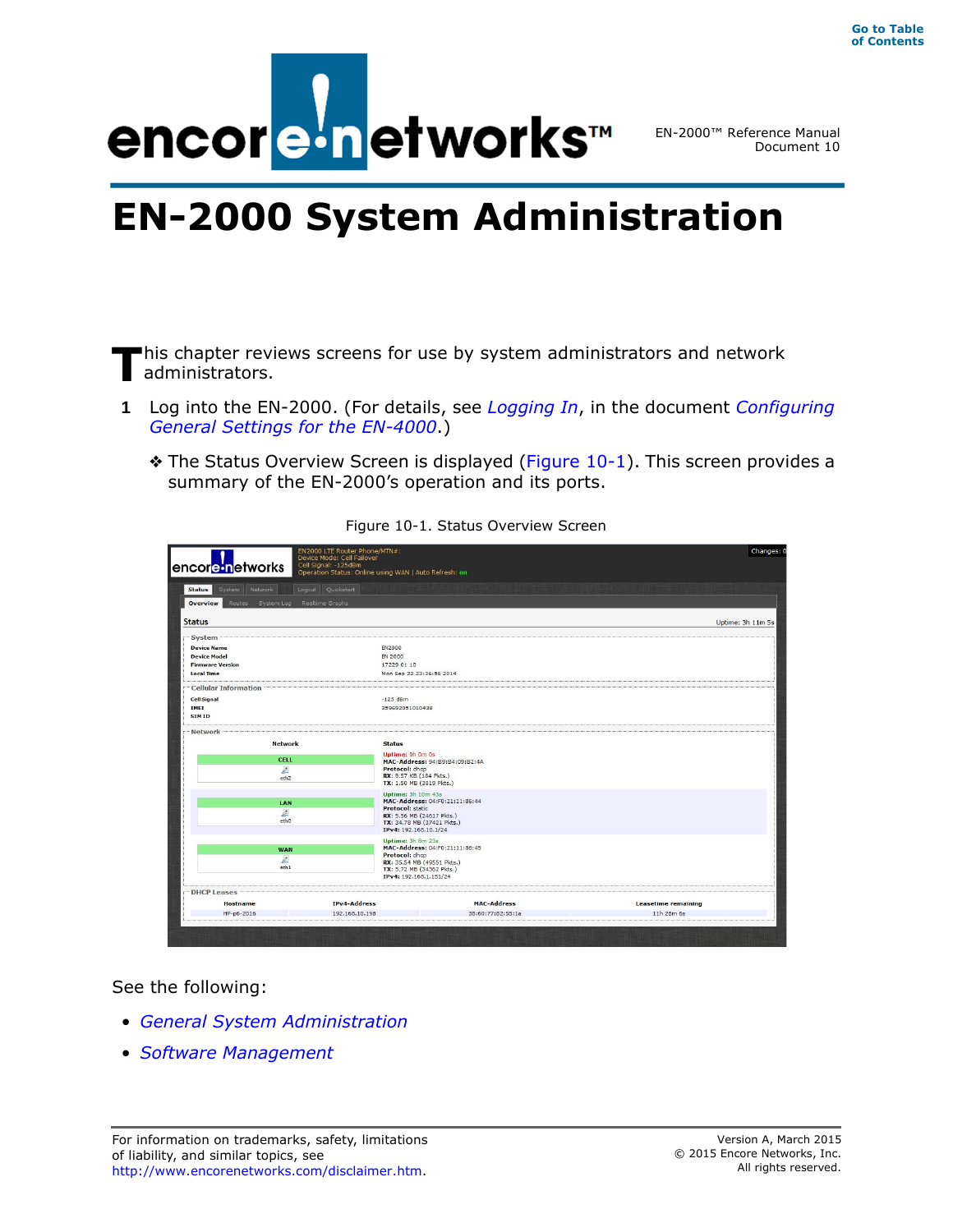

EN-2000™ Reference Manual Document 10

# **EN-2000 System Administration**

This chapter reviews screens for use by system administrators and network administrators. administrators.

- **1** Log into the EN-2000. (For details, see *Logging In*, in the document *Configuring General Settings for the EN-4000*.)
	- ❖ The Status Overview Screen is displayed (Figure 10-1). This screen provides a summary of the EN-2000's operation and its ports.

| EN2000 LTE Router Phone/MTN#:<br>Device Mode: Cell Failover<br>Cell Signal: 125dBm<br>encore networks<br>Operation Status: Online using WAN   Auto Refresh: on |                   |                                                      | Changes:                   |  |
|----------------------------------------------------------------------------------------------------------------------------------------------------------------|-------------------|------------------------------------------------------|----------------------------|--|
| <b>Status</b><br>System Network                                                                                                                                | Logout Quickstart |                                                      |                            |  |
| Overview<br>Routes System Log                                                                                                                                  | Realtime Graphs   |                                                      |                            |  |
| <b>Status</b>                                                                                                                                                  |                   |                                                      | Uptime: 3h 11m 5s          |  |
| System                                                                                                                                                         |                   |                                                      |                            |  |
| <b>Device Name</b>                                                                                                                                             | <b>EN2000</b>     |                                                      |                            |  |
| <b>Device Model</b>                                                                                                                                            | <b>EN 2000</b>    |                                                      |                            |  |
| <b>Firmware Version</b><br>17229 01 10                                                                                                                         |                   |                                                      |                            |  |
| <b>Local Time</b>                                                                                                                                              |                   | Mon Sep 22 23:36:56 2014                             |                            |  |
| <b>Cellular Information</b>                                                                                                                                    |                   |                                                      |                            |  |
| <b>Cell Signal</b>                                                                                                                                             | $-125$ dBm        |                                                      |                            |  |
| <b>IMEI</b>                                                                                                                                                    |                   | 359692051010438                                      |                            |  |
| <b>SIMID</b>                                                                                                                                                   |                   |                                                      |                            |  |
| Network                                                                                                                                                        |                   |                                                      |                            |  |
| <b>Network</b>                                                                                                                                                 | <b>Status</b>     |                                                      |                            |  |
| <b>CELL</b>                                                                                                                                                    |                   | Uptime: 0h 0m 0s                                     |                            |  |
|                                                                                                                                                                |                   | MAC-Address: 94:B9:B4:09:B2:4A<br>Protocol: dhcp     |                            |  |
| 上<br>eth <sub>2</sub>                                                                                                                                          |                   | RX: 9.57 KB (184 Pkts.)                              |                            |  |
|                                                                                                                                                                |                   | TX: 1.50 MB (3819 Pkts.)                             |                            |  |
|                                                                                                                                                                |                   | <b>Uptime: 3h 10m 43s</b>                            |                            |  |
| LAN                                                                                                                                                            |                   | MAC-Address: 04:F0:21:11:86:44                       |                            |  |
| 圆                                                                                                                                                              |                   | <b>Protocol: static</b><br>RX: 5.56 MB (24617 Pkts.) |                            |  |
| ethO                                                                                                                                                           |                   | TX: 34.78 MB (37421 Pkts.)                           |                            |  |
|                                                                                                                                                                |                   | IPv4: 192.168.10.1/24                                |                            |  |
|                                                                                                                                                                |                   | Uptime: 3h 8m 23s<br>MAC-Address: 04:F0:21:11:86:45  |                            |  |
| <b>WAN</b>                                                                                                                                                     |                   | Protocol: dhcp                                       |                            |  |
| $\frac{1}{2}$                                                                                                                                                  |                   | RX: 35.54 MB (49551 Pkts.)                           |                            |  |
| eth <sub>1</sub>                                                                                                                                               |                   | TX: 5.72 MB (34362 Pkts.)<br>IPv4: 192.168.1.151/24  |                            |  |
| <b>DHCP Leases</b>                                                                                                                                             |                   |                                                      |                            |  |
| <b>Hostname</b>                                                                                                                                                | IPv4-Address      | <b>MAC-Address</b>                                   | <b>Leasetime remaining</b> |  |
|                                                                                                                                                                | 192.168.10.198    | 38:60:77:82:55:1a                                    | 11h 28m 6s                 |  |

Figure 10-1. Status Overview Screen

See the following:

- *General System Administration*
- *Software Management*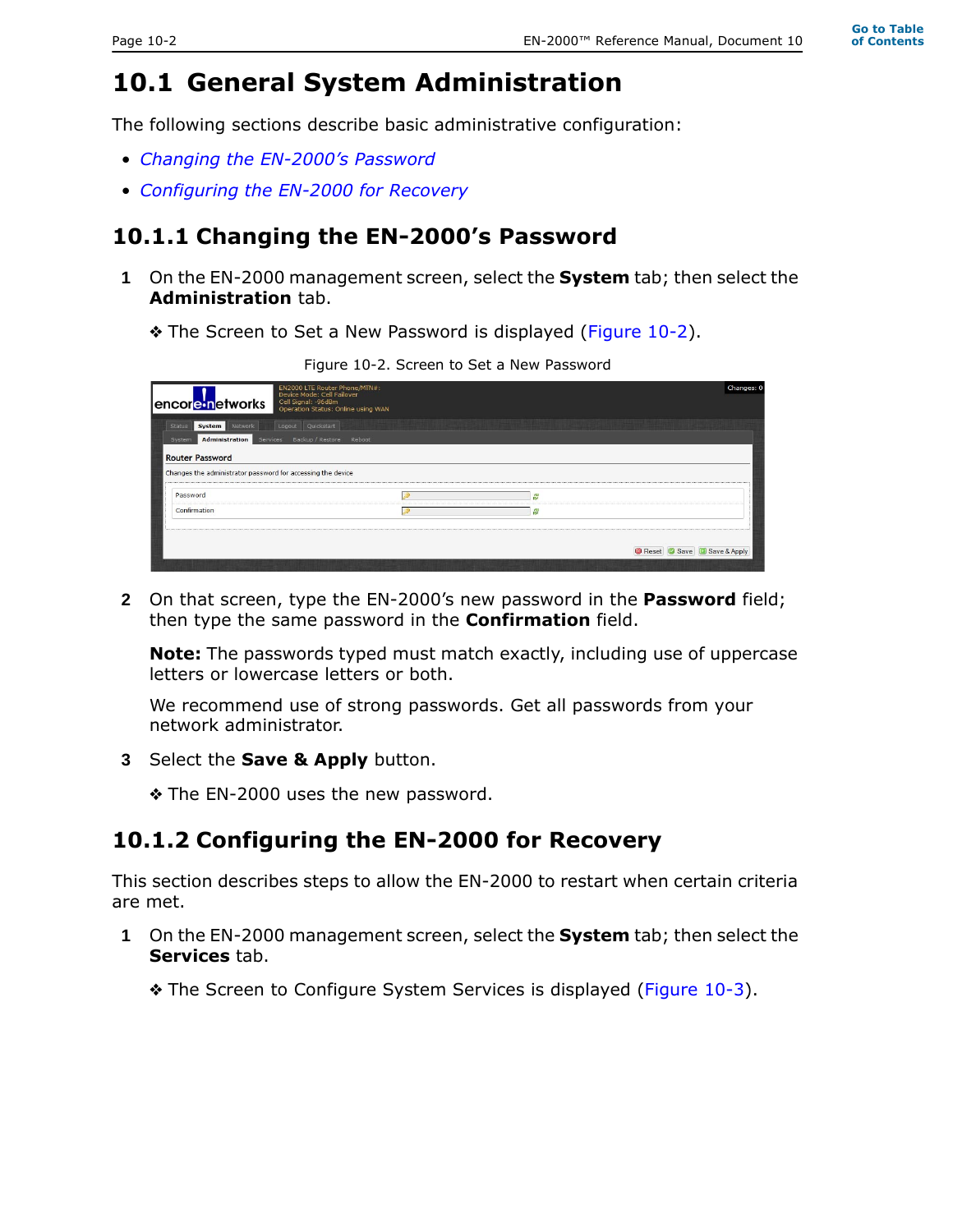# **10.1 General System Administration**

The following sections describe basic administrative configuration:

- *Changing the EN-2000's Password*
- *Configuring the EN-2000 for Recovery*

## **10.1.1 Changing the EN-2000's Password**

- **1** On the EN-2000 management screen, select the **System** tab; then select the **Administration** tab.
	- ❖ The Screen to Set a New Password is displayed (Figure 10-2).

Figure 10-2. Screen to Set a New Password

|                                                             | EN2000 LTE Router Phone/MTN#:<br>Device Mode: Cell Failover |   | Changes: 0              |
|-------------------------------------------------------------|-------------------------------------------------------------|---|-------------------------|
| encore networks                                             | Cell Signal: - 96dBm<br>Operation Status: Online using WAN  |   |                         |
| Network<br><b>Status</b><br>System                          | Quickstart<br>Logout                                        |   |                         |
| <b>Administration</b><br>Services<br>System                 | Backup / Restore Reboot                                     |   |                         |
| <b>Router Password</b>                                      |                                                             |   |                         |
| Changes the administrator password for accessing the device |                                                             |   |                         |
| Password                                                    |                                                             | â |                         |
| Confirmation                                                |                                                             | 운 |                         |
|                                                             |                                                             |   |                         |
|                                                             |                                                             |   | Reset Save Save & Apply |
|                                                             |                                                             |   |                         |

**2** On that screen, type the EN-2000's new password in the **Password** field; then type the same password in the **Confirmation** field.

**Note:** The passwords typed must match exactly, including use of uppercase letters or lowercase letters or both.

We recommend use of strong passwords. Get all passwords from your network administrator.

- **3** Select the **Save & Apply** button.
	- ❖ The EN-2000 uses the new password.

### **10.1.2 Configuring the EN-2000 for Recovery**

This section describes steps to allow the EN-2000 to restart when certain criteria are met.

- **1** On the EN-2000 management screen, select the **System** tab; then select the **Services** tab.
	- ❖ The Screen to Configure System Services is displayed (Figure 10-3).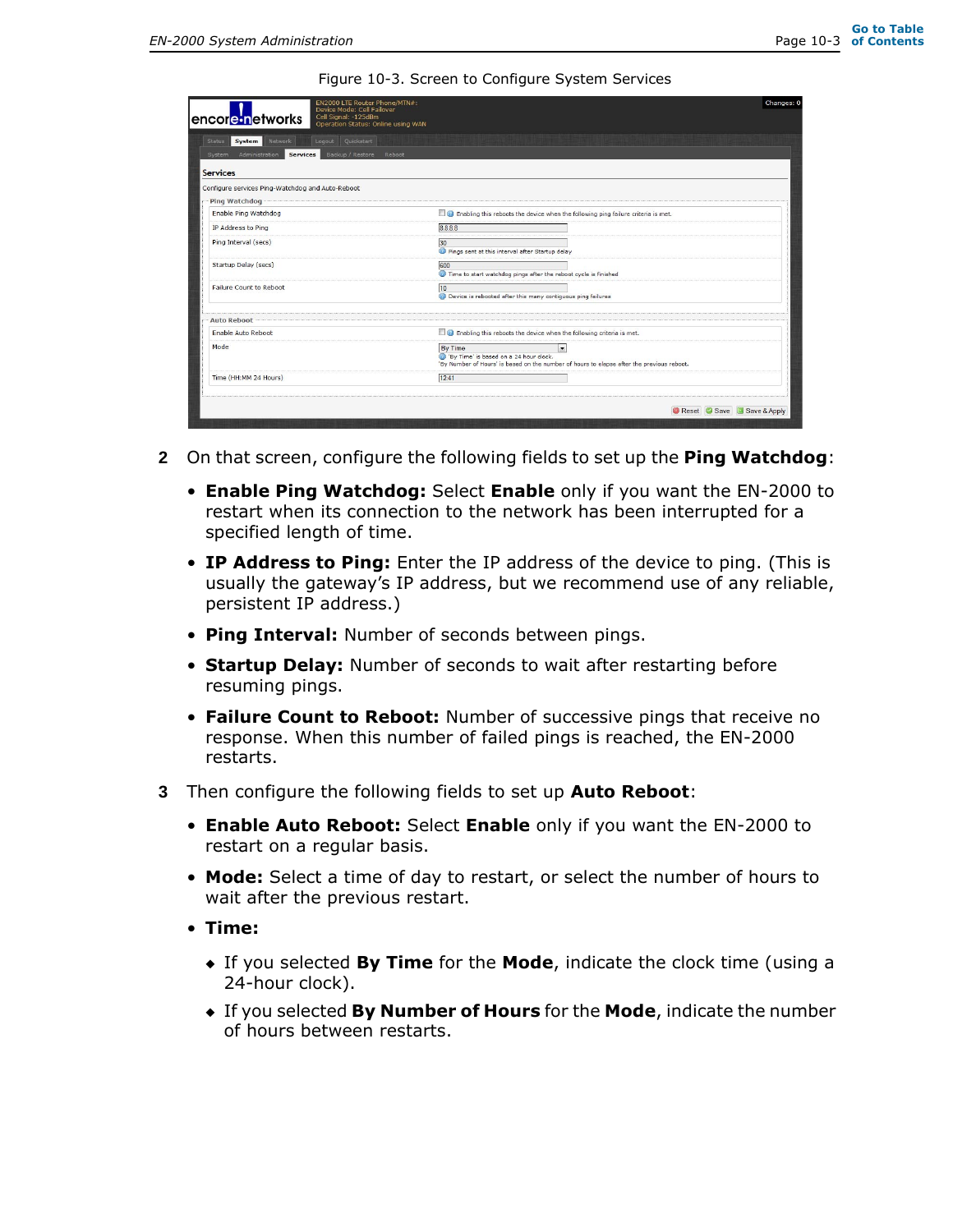Figure 10-3. Screen to Configure System Services

| EN2000 LTE Router Phone/MTN#:<br>Device Mode: Cell Failover<br>Cell Signal: - 125dBm<br>encore inetworks<br>Operation Status: Online using WAN |                                                                                                                                                                                  | Changes: 0   |
|------------------------------------------------------------------------------------------------------------------------------------------------|----------------------------------------------------------------------------------------------------------------------------------------------------------------------------------|--------------|
| Logout Quickstart<br>Network<br>System<br><b>Status</b>                                                                                        |                                                                                                                                                                                  |              |
| Backup / Restore Reboot<br>Administration<br>Services  <br>System                                                                              |                                                                                                                                                                                  |              |
| <b>Services</b>                                                                                                                                |                                                                                                                                                                                  |              |
| Configure services Ping-Watchdog and Auto-Reboot                                                                                               |                                                                                                                                                                                  |              |
| Ping Watchdog                                                                                                                                  |                                                                                                                                                                                  |              |
| Enable Ping Watchdog                                                                                                                           | Enabling this reboots the device when the following ping failure criteria is met.                                                                                                |              |
| IP Address to Ping                                                                                                                             | 8.8.8.8                                                                                                                                                                          |              |
| Ping Interval (secs)                                                                                                                           | 30<br>Pings sent at this interval after Startup delay                                                                                                                            |              |
| Startup Delay (secs)                                                                                                                           | 600<br>Time to start watchdog pings after the reboot cycle is finished                                                                                                           |              |
| Failure Count to Reboot                                                                                                                        | 10<br>Device is rebooted after this many contiguous ping failures                                                                                                                |              |
| <b>Auto Reboot</b>                                                                                                                             |                                                                                                                                                                                  |              |
| Enable Auto Reboot                                                                                                                             | Enabling this reboots the device when the following criteria is met.                                                                                                             |              |
| Mode                                                                                                                                           | <b>By Time</b><br>$\overline{\phantom{a}}$<br>By Time' is based on a 24 hour clock.<br>'By Number of Hours' is based on the number of hours to elapse after the previous reboot. |              |
| Time (HH:MM 24 Hours)                                                                                                                          | 12:41                                                                                                                                                                            |              |
|                                                                                                                                                | <b>B</b> Reset <b>C</b> Save                                                                                                                                                     | Save & Apply |

- **2** On that screen, configure the following fields to set up the **Ping Watchdog**:
	- **Enable Ping Watchdog:** Select **Enable** only if you want the EN-2000 to restart when its connection to the network has been interrupted for a specified length of time.
	- **IP Address to Ping:** Enter the IP address of the device to ping. (This is usually the gateway's IP address, but we recommend use of any reliable, persistent IP address.)
	- **Ping Interval:** Number of seconds between pings.
	- **Startup Delay:** Number of seconds to wait after restarting before resuming pings.
	- **Failure Count to Reboot:** Number of successive pings that receive no response. When this number of failed pings is reached, the EN-2000 restarts.
- **3** Then configure the following fields to set up **Auto Reboot**:
	- **Enable Auto Reboot:** Select **Enable** only if you want the EN-2000 to restart on a regular basis.
	- **Mode:** Select a time of day to restart, or select the number of hours to wait after the previous restart.
	- **Time:**
		- ◆ If you selected **By Time** for the **Mode**, indicate the clock time (using a 24-hour clock).
		- ◆ If you selected **By Number of Hours** for the **Mode**, indicate the number of hours between restarts.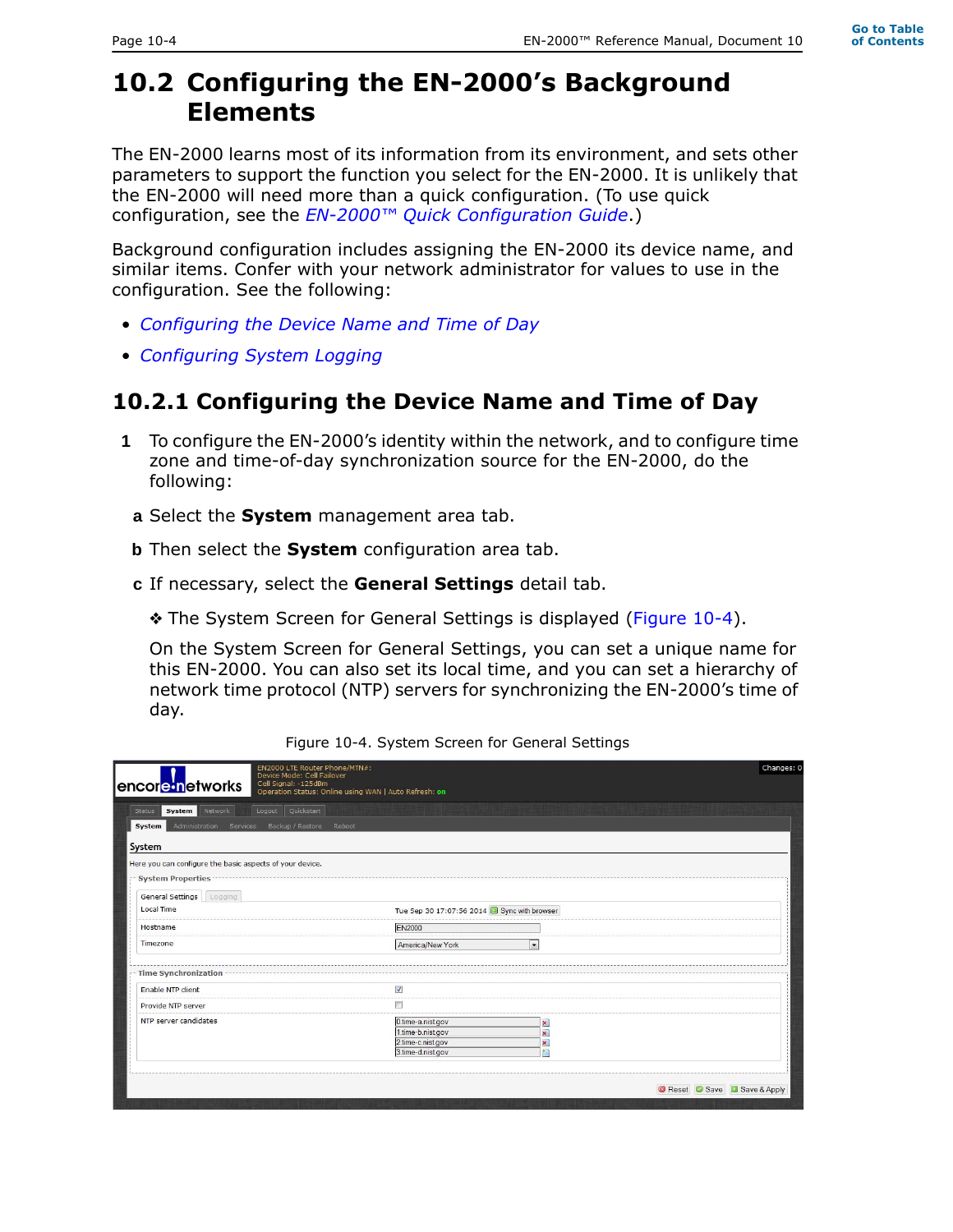# **10.2 Configuring the EN-2000's Background Elements**

The EN-2000 learns most of its information from its environment, and sets other parameters to support the function you select for the EN-2000. It is unlikely that the EN-2000 will need more than a quick configuration. (To use quick configuration, see the *EN-2000™ Quick Configuration Guide*.)

Background configuration includes assigning the EN-2000 its device name, and similar items. Confer with your network administrator for values to use in the configuration. See the following:

- *Configuring the Device Name and Time of Day*
- *Configuring System Logging*

#### **10.2.1 Configuring the Device Name and Time of Day**

- **1** To configure the EN-2000's identity within the network, and to configure time zone and time-of-day synchronization source for the EN-2000, do the following:
	- **a** Select the **System** management area tab.
- **b** Then select the **System** configuration area tab.
- **c** If necessary, select the **General Settings** detail tab.
	- ❖ The System Screen for General Settings is displayed (Figure 10-4).

On the System Screen for General Settings, you can set a unique name for this EN-2000. You can also set its local time, and you can set a hierarchy of network time protocol (NTP) servers for synchronizing the EN-2000's time of day.

| EN2000 LTE Router Phone/MTN#:<br>Device Mode: Cell Failover                                      |                                                                                  |                                                        | Changes: 0                |
|--------------------------------------------------------------------------------------------------|----------------------------------------------------------------------------------|--------------------------------------------------------|---------------------------|
| Cell Signal: -125dBm<br>encore networks<br>Operation Status: Online using WAN   Auto Refresh: on |                                                                                  |                                                        |                           |
| Logout Quickstart<br>Network<br>System<br><b>Status</b>                                          |                                                                                  |                                                        |                           |
| Administration<br>Backup / Restore<br>Reboot<br>System<br>Services                               |                                                                                  |                                                        |                           |
| System                                                                                           |                                                                                  |                                                        |                           |
| Here you can configure the basic aspects of your device.                                         |                                                                                  |                                                        |                           |
| <b>System Properties</b>                                                                         |                                                                                  |                                                        |                           |
| General Settings   Logging                                                                       |                                                                                  |                                                        |                           |
| <b>Local Time</b>                                                                                | Tue Sep 30 17:07:56 2014 3 Sync with browser                                     |                                                        |                           |
| Hostname                                                                                         | <b>EN2000</b>                                                                    |                                                        |                           |
| Timezone                                                                                         | America/New York                                                                 | $\blacktriangledown$                                   |                           |
| Time Synchronization                                                                             |                                                                                  |                                                        |                           |
| <b>Enable NTP client</b>                                                                         | V                                                                                |                                                        |                           |
| Provide NTP server                                                                               |                                                                                  |                                                        |                           |
| NTP server candidates                                                                            | 0.time-a.nist.gov<br>1.time-b.nist.gov<br>2.time-c.nist.gov<br>3.time-d.nist.gov | $\mathbf{x}$<br>$\pmb{\times}$<br>$\vert x \vert$<br>桁 |                           |
|                                                                                                  |                                                                                  |                                                        | Reset Save B Save & Apply |

Figure 10-4. System Screen for General Settings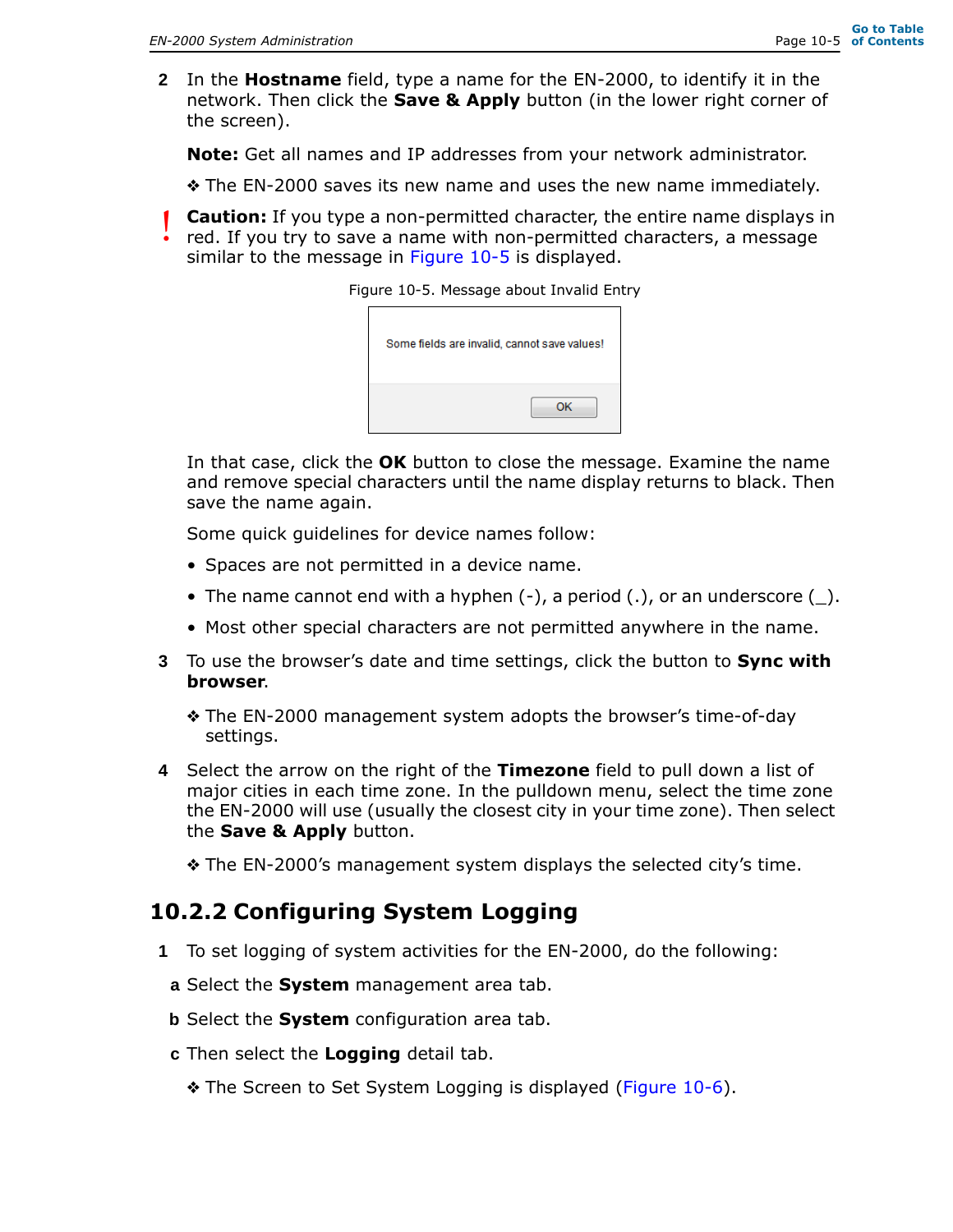**2** In the **Hostname** field, type a name for the EN-2000, to identify it in the network. Then click the **Save & Apply** button (in the lower right corner of the screen).

**Note:** Get all names and IP addresses from your network administrator.

❖ The EN-2000 saves its new name and uses the new name immediately.

**Caution:** If you type a non-permitted character, the entire name displays in red. If you try to save a name with non-permitted characters, a message similar to the message in Figure 10-5 is displayed. !<br>!

Figure 10-5. Message about Invalid Entry

| Some fields are invalid, cannot save values! |    |
|----------------------------------------------|----|
|                                              | ок |

In that case, click the **OK** button to close the message. Examine the name and remove special characters until the name display returns to black. Then save the name again.

Some quick guidelines for device names follow:

- Spaces are not permitted in a device name.
- The name cannot end with a hyphen  $(-)$ , a period  $(.)$ , or an underscore  $(.)$ .
- Most other special characters are not permitted anywhere in the name.
- **3** To use the browser's date and time settings, click the button to **Sync with browser**.
	- ❖ The EN-2000 management system adopts the browser's time-of-day settings.
- **4** Select the arrow on the right of the **Timezone** field to pull down a list of major cities in each time zone. In the pulldown menu, select the time zone the EN-2000 will use (usually the closest city in your time zone). Then select the **Save & Apply** button.

❖ The EN-2000's management system displays the selected city's time.

#### **10.2.2 Configuring System Logging**

- **1** To set logging of system activities for the EN-2000, do the following:
- **a** Select the **System** management area tab.
- **b** Select the **System** configuration area tab.
- **c** Then select the **Logging** detail tab.
	- ❖ The Screen to Set System Logging is displayed (Figure 10-6).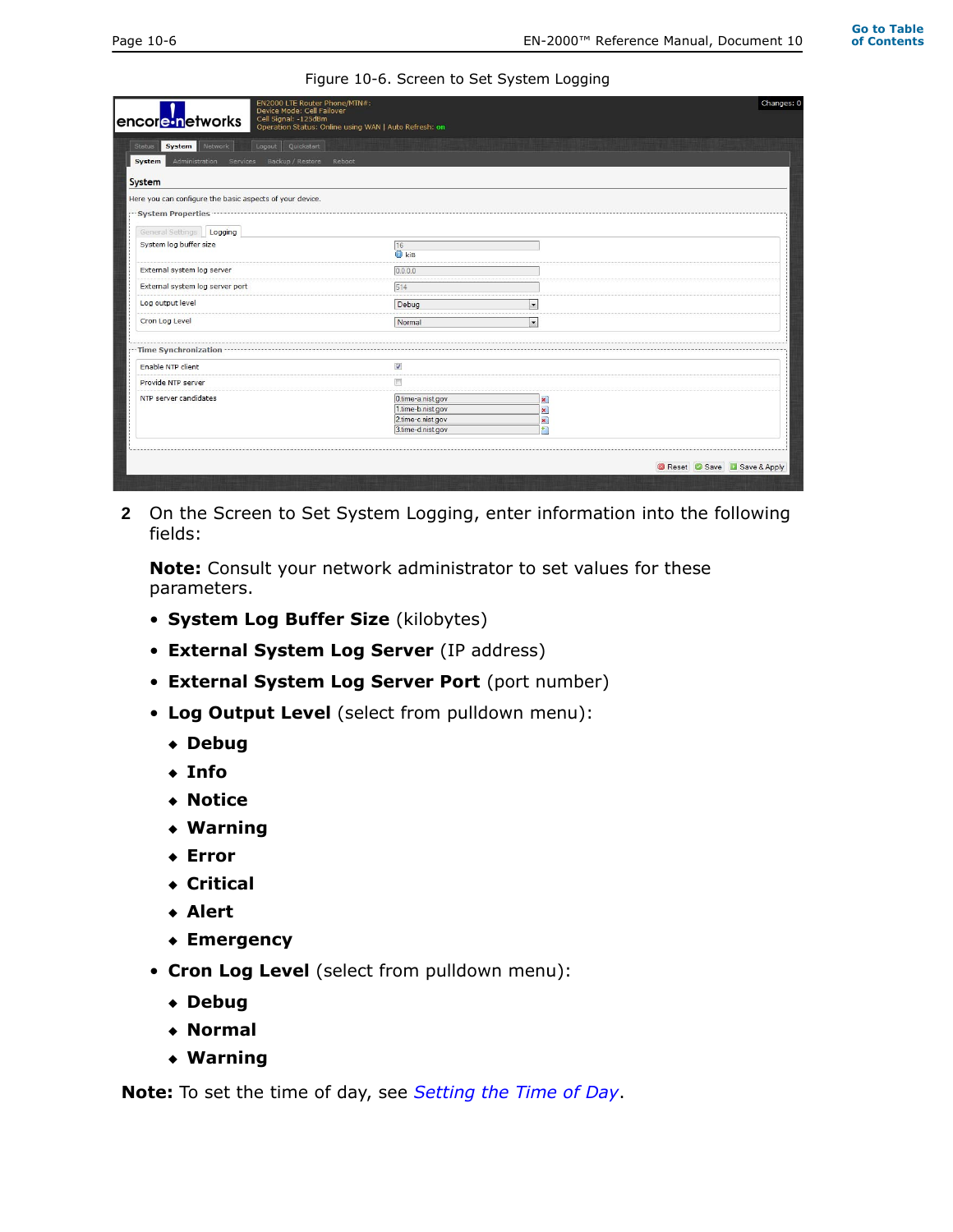#### Figure 10-6. Screen to Set System Logging

| Logout Quickstart<br>Network<br>Status<br><b>System</b>  |                                                                                  |                          |  |
|----------------------------------------------------------|----------------------------------------------------------------------------------|--------------------------|--|
| Administration<br>Backup / Restore<br>System<br>Services | Reboot                                                                           |                          |  |
| System                                                   |                                                                                  |                          |  |
| Here you can configure the basic aspects of your device. |                                                                                  |                          |  |
| <b>System Properties</b>                                 |                                                                                  |                          |  |
| General Settings   Logging                               |                                                                                  |                          |  |
| System log buffer size                                   | 16<br><b>D</b> kiB                                                               |                          |  |
| External system log server                               | 0.0.0.0                                                                          |                          |  |
| External system log server port                          | 514                                                                              |                          |  |
| Log output level                                         | Debug                                                                            | $\cdot$                  |  |
| Cron Log Level                                           | Normal                                                                           | $\overline{\phantom{a}}$ |  |
| Time Synchronization                                     |                                                                                  |                          |  |
| Enable NTP client                                        | $\overline{\mathcal{L}}$                                                         |                          |  |
| Provide NTP server                                       | 門                                                                                |                          |  |
| NTP server candidates                                    | 0.time-a.nist.gov<br>1.time-b.nist.gov<br>2.time-c.nist.gov<br>3.time-d.nist.gov | ×<br>×<br>×<br>詞         |  |

**2** On the Screen to Set System Logging, enter information into the following fields:

**Note:** Consult your network administrator to set values for these parameters.

- **System Log Buffer Size** (kilobytes)
- **External System Log Server** (IP address)
- **External System Log Server Port** (port number)
- **Log Output Level** (select from pulldown menu):
	- ◆ **Debug**
	- ◆ **Info**
	- ◆ **Notice**
	- ◆ **Warning**
	- ◆ **Error**
	- ◆ **Critical**
	- ◆ **Alert**
	- ◆ **Emergency**
- **Cron Log Level** (select from pulldown menu):
	- ◆ **Debug**
	- ◆ **Normal**
	- ◆ **Warning**

**Note:** To set the time of day, see *Setting the Time of Day*.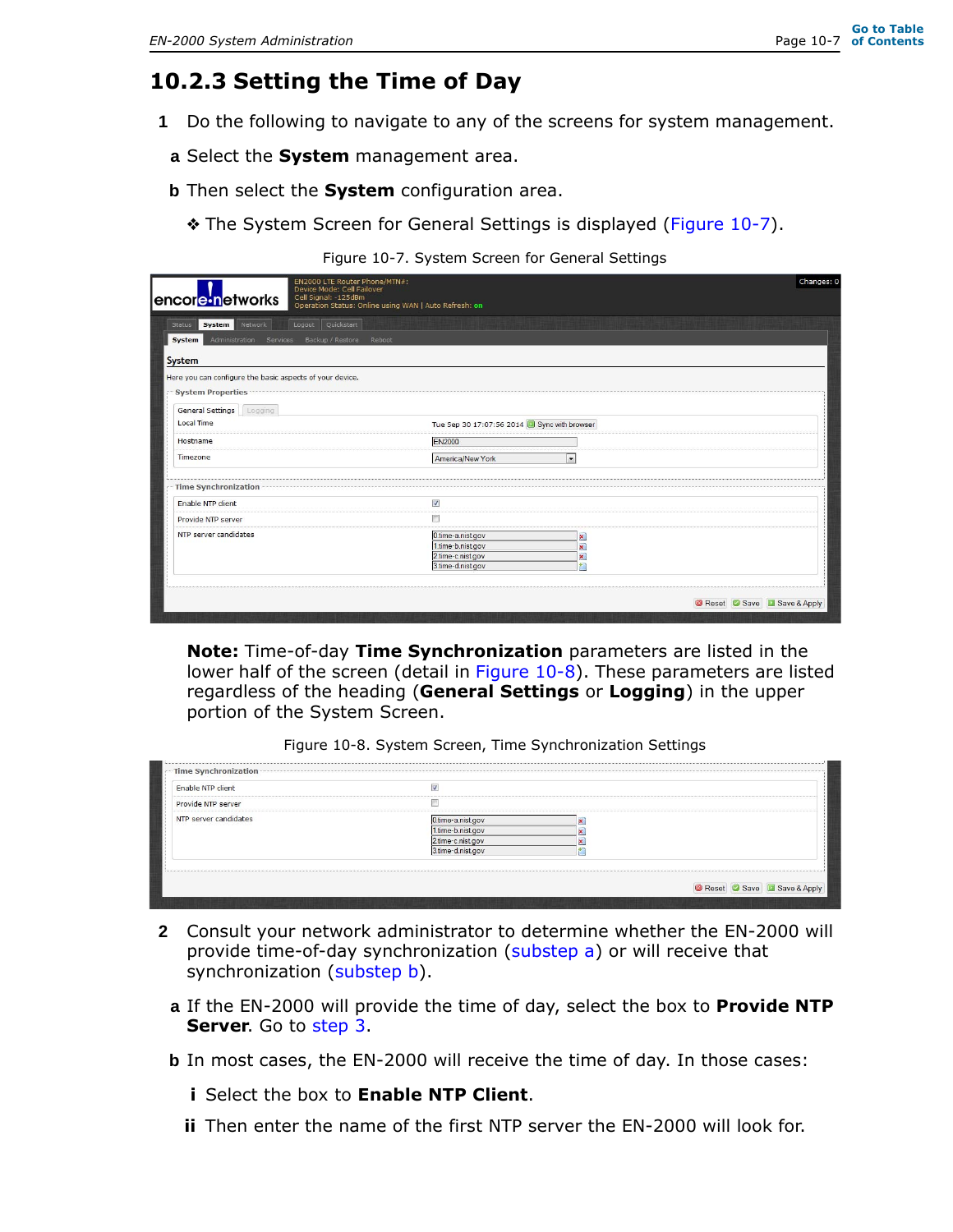#### **10.2.3 Setting the Time of Day**

- **1** Do the following to navigate to any of the screens for system management.
	- **a** Select the **System** management area.
	- **b** Then select the **System** configuration area.
		- ❖ The System Screen for General Settings is displayed (Figure 10-7).

Figure 10-7. System Screen for General Settings

| Device Mode: Cell Failover                                | EN2000 LTE Router Phone/MTN#:                         | Changes: 0 |
|-----------------------------------------------------------|-------------------------------------------------------|------------|
| Cell Signal: -125dBm<br>encor <mark>e•n</mark> etworks    | Operation Status: Online using WAN   Auto Refresh: on |            |
| Logout Quickstart<br>System  <br>Network<br><b>Status</b> |                                                       |            |
| Administration Services Backup / Restore<br>System        | Reboot                                                |            |
| <b>System</b>                                             |                                                       |            |
| Here you can configure the basic aspects of your device.  |                                                       |            |
| <b>System Properties</b>                                  |                                                       |            |
|                                                           |                                                       |            |
| General Settings   Logging<br>Local Time                  | Tue Sep 30 17:07:56 2014 3 Sync with browser          |            |
|                                                           |                                                       |            |
| Hostname                                                  | <b>EN2000</b>                                         |            |
| Timezone                                                  | America/New York<br>$\overline{\phantom{a}}$          |            |
| Time Synchronization                                      |                                                       |            |
| Enable NTP client                                         | V                                                     |            |
| Provide NTP server                                        | m                                                     |            |
| NTP server candidates                                     | 0.time-a.nist.gov<br>×                                |            |
|                                                           | 1.time-b.nist.gov<br>×                                |            |
|                                                           | 2.time-c.nist.gov                                     |            |
|                                                           | 扪<br>3.time-d.nist.gov                                |            |

**Note:** Time-of-day **Time Synchronization** parameters are listed in the lower half of the screen (detail in Figure 10-8). These parameters are listed regardless of the heading (**General Settings** or **Logging**) in the upper portion of the System Screen.

Figure 10-8. System Screen, Time Synchronization Settings

| Enable NTP client     | $\overline{\mathbf{v}}$ |  |  |
|-----------------------|-------------------------|--|--|
| Provide NTP server    |                         |  |  |
| NTP server candidates | 0.time-a.nist.gov       |  |  |
|                       | 1.time-b.nist.gov       |  |  |
|                       | 2.time-c.nist.gov       |  |  |
|                       | 3.time-d.nist.gov       |  |  |

- **2** Consult your network administrator to determine whether the EN-2000 will provide time-of-day synchronization (substep a) or will receive that synchronization (substep b).
	- **a** If the EN-2000 will provide the time of day, select the box to **Provide NTP Server**. Go to step 3.
	- **b** In most cases, the EN-2000 will receive the time of day. In those cases:
		- **i** Select the box to **Enable NTP Client**.
		- **ii** Then enter the name of the first NTP server the EN-2000 will look for.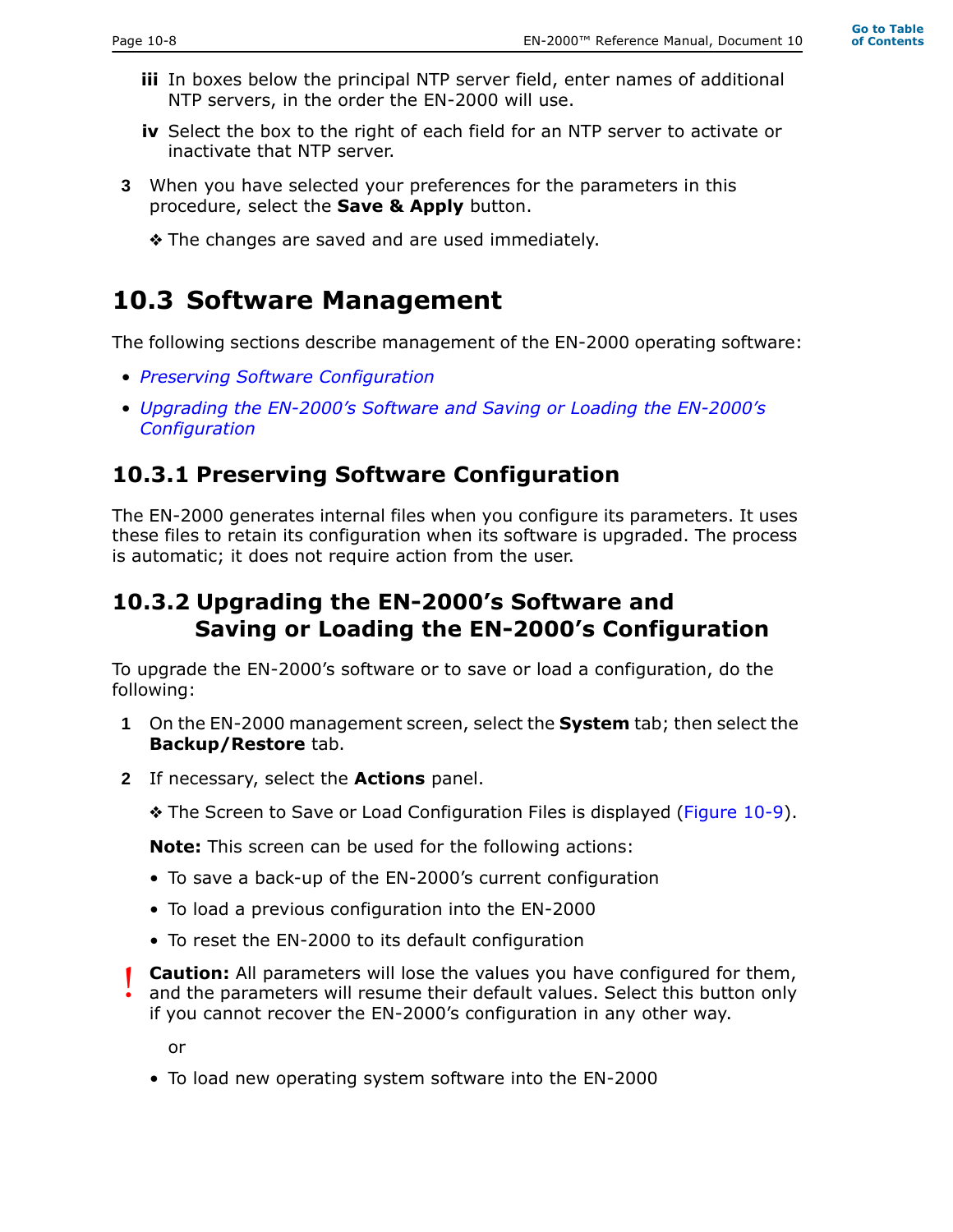- **iii** In boxes below the principal NTP server field, enter names of additional NTP servers, in the order the EN-2000 will use.
- **iv** Select the box to the right of each field for an NTP server to activate or inactivate that NTP server.
- **3** When you have selected your preferences for the parameters in this procedure, select the **Save & Apply** button.
	- ❖ The changes are saved and are used immediately.

# **10.3 Software Management**

The following sections describe management of the EN-2000 operating software:

- *Preserving Software Configuration*
- *Upgrading the EN-2000's Software and Saving or Loading the EN-2000's Configuration*

#### **10.3.1 Preserving Software Configuration**

The EN-2000 generates internal files when you configure its parameters. It uses these files to retain its configuration when its software is upgraded. The process is automatic; it does not require action from the user.

#### **10.3.2 Upgrading the EN-2000's Software and Saving or Loading the EN-2000's Configuration**

To upgrade the EN-2000's software or to save or load a configuration, do the following:

- **1** On the EN-2000 management screen, select the **System** tab; then select the **Backup/Restore** tab.
- **2** If necessary, select the **Actions** panel.
	- ❖ The Screen to Save or Load Configuration Files is displayed (Figure 10-9).

**Note:** This screen can be used for the following actions:

- To save a back-up of the EN-2000's current configuration
- To load a previous configuration into the EN-2000
- To reset the EN-2000 to its default configuration

**Caution:** All parameters will lose the values you have configured for them, and the parameters will resume their default values. Select this button only if you cannot recover the EN-2000's configuration in any other way. !<br>!

or

• To load new operating system software into the EN-2000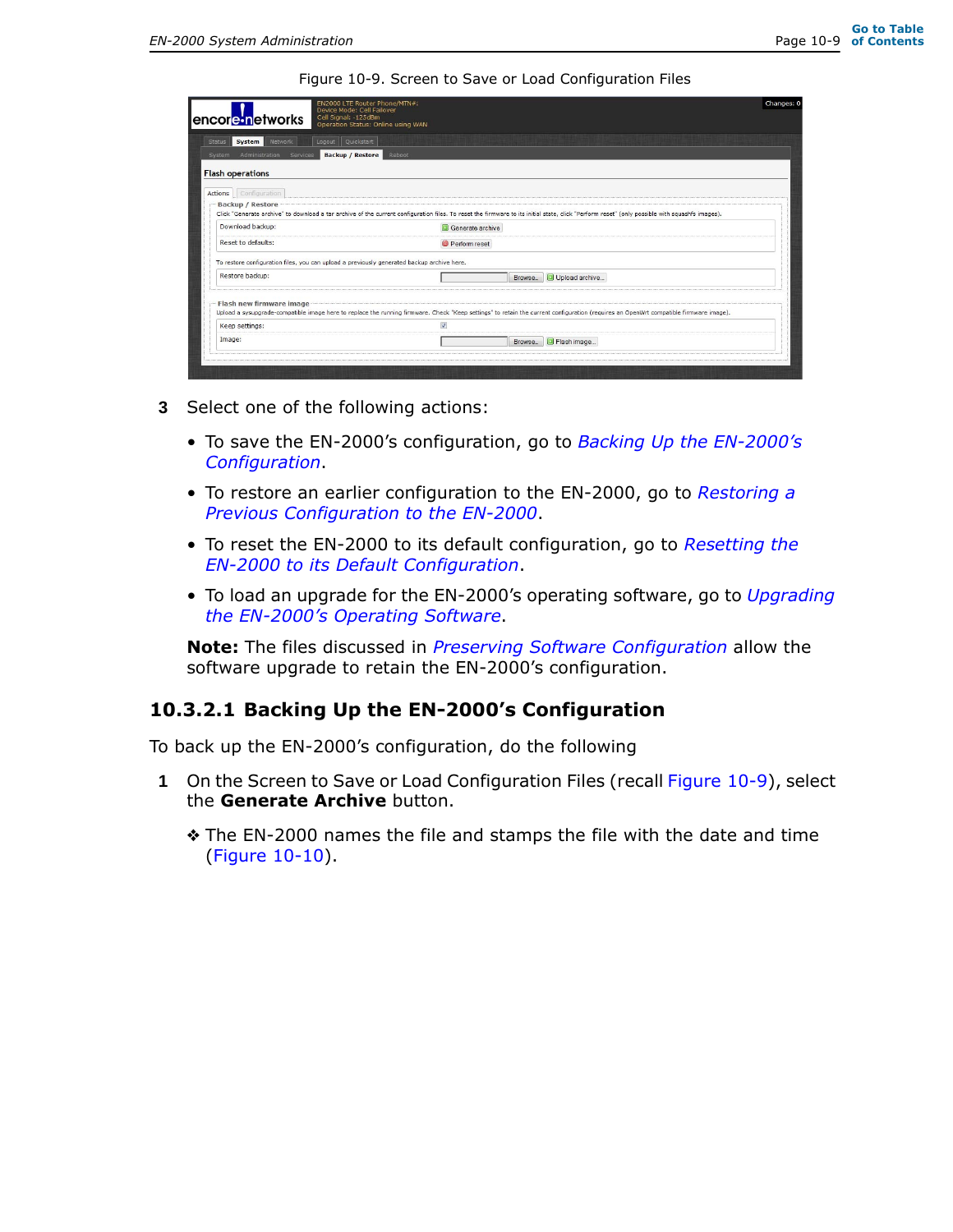Figure 10-9. Screen to Save or Load Configuration Files

| encore in etworks<br>Cell Signal: -125dBm                                                  | EN2000 LTE Router Phone/MTN#:<br>Device Mode: Cell Failover<br>Operation Status: Online using WAN |                                                                                                                                                                                                | Changes: 0 |  |
|--------------------------------------------------------------------------------------------|---------------------------------------------------------------------------------------------------|------------------------------------------------------------------------------------------------------------------------------------------------------------------------------------------------|------------|--|
| Logout Quickstart<br>Network<br>System<br><b>Status</b>                                    |                                                                                                   |                                                                                                                                                                                                |            |  |
| <b>Backup / Restore</b><br>Administration<br>Services<br>System                            | Reboot                                                                                            |                                                                                                                                                                                                |            |  |
| <b>Flash operations</b>                                                                    |                                                                                                   |                                                                                                                                                                                                |            |  |
| Actions Configuration                                                                      |                                                                                                   |                                                                                                                                                                                                |            |  |
| <b>Backup / Restore</b>                                                                    |                                                                                                   | Click "Generate archive" to download a tar archive of the current configuration files. To reset the firmware to its initial state, click "Perform reset" (only possible with squashfs images). |            |  |
| Download backup:                                                                           | Generate archive                                                                                  |                                                                                                                                                                                                |            |  |
| Reset to defaults:                                                                         |                                                                                                   | Perform reset                                                                                                                                                                                  |            |  |
| To restore configuration files, you can upload a previously generated backup archive here. |                                                                                                   |                                                                                                                                                                                                |            |  |
| Restore backup:                                                                            |                                                                                                   | Upload archive<br>Browse.                                                                                                                                                                      |            |  |
| Flash new firmware image                                                                   |                                                                                                   | Upload a sysupgrade-compatible image here to replace the running firmware. Check "Keep settings" to retain the current configuration (requires an OpenWrt compatible firmware image).          |            |  |
| Keep settings:                                                                             | $\overline{\mathcal{A}}$                                                                          |                                                                                                                                                                                                |            |  |
|                                                                                            |                                                                                                   |                                                                                                                                                                                                |            |  |

- **3** Select one of the following actions:
	- To save the EN-2000's configuration, go to *Backing Up the EN-2000's Configuration*.
	- To restore an earlier configuration to the EN-2000, go to *Restoring a Previous Configuration to the EN-2000*.
	- To reset the EN-2000 to its default configuration, go to *Resetting the EN-2000 to its Default Configuration*.
	- To load an upgrade for the EN-2000's operating software, go to *Upgrading the EN-2000's Operating Software*.

**Note:** The files discussed in *Preserving Software Configuration* allow the software upgrade to retain the EN-2000's configuration.

#### **10.3.2.1 Backing Up the EN-2000's Configuration**

To back up the EN-2000's configuration, do the following

- **1** On the Screen to Save or Load Configuration Files (recall Figure 10-9), select the **Generate Archive** button.
	- ❖ The EN-2000 names the file and stamps the file with the date and time (Figure 10-10).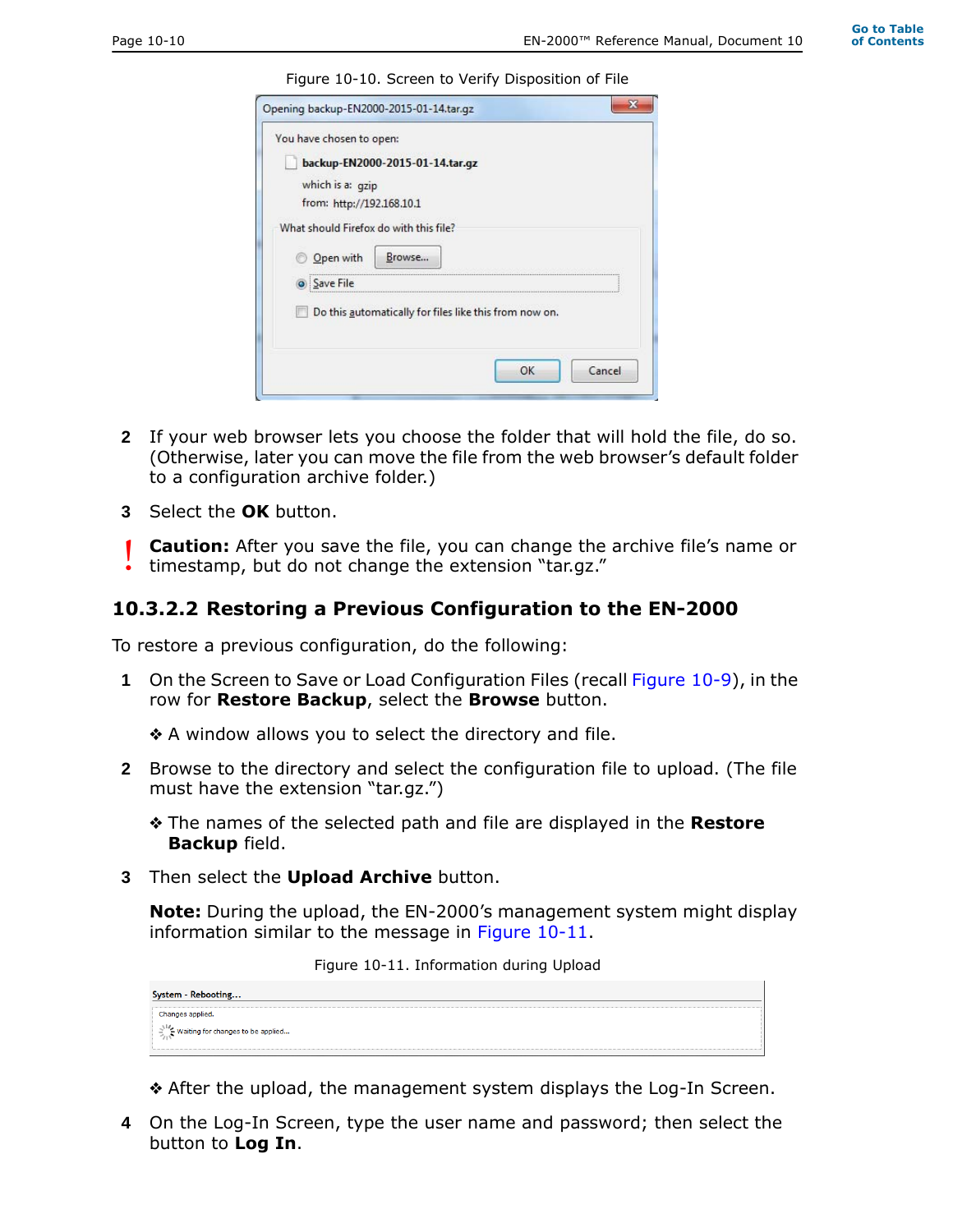Figure 10-10. Screen to Verify Disposition of File

| You have chosen to open:               |                                                        |    |        |
|----------------------------------------|--------------------------------------------------------|----|--------|
| backup-EN2000-2015-01-14.tar.gz        |                                                        |    |        |
|                                        |                                                        |    |        |
| which is a: gzip                       |                                                        |    |        |
| from: http://192.168.10.1              |                                                        |    |        |
| What should Firefox do with this file? |                                                        |    |        |
|                                        |                                                        |    |        |
| Open with                              | Browse                                                 |    |        |
| Save File                              |                                                        |    |        |
|                                        |                                                        |    |        |
|                                        | Do this automatically for files like this from now on. |    |        |
|                                        |                                                        |    |        |
|                                        |                                                        |    |        |
|                                        |                                                        | OK | Cancel |

- **2** If your web browser lets you choose the folder that will hold the file, do so. (Otherwise, later you can move the file from the web browser's default folder to a configuration archive folder.)
- **3** Select the **OK** button.

**Caution:** After you save the file, you can change the archive file's name or timestamp, but do not change the extension "tar.gz." !<br>!

#### **10.3.2.2 Restoring a Previous Configuration to the EN-2000**

To restore a previous configuration, do the following:

**1** On the Screen to Save or Load Configuration Files (recall Figure 10-9), in the row for **Restore Backup**, select the **Browse** button.

❖ A window allows you to select the directory and file.

- **2** Browse to the directory and select the configuration file to upload. (The file must have the extension "tar.gz.")
	- ❖ The names of the selected path and file are displayed in the **Restore Backup** field.
- **3** Then select the **Upload Archive** button.

**Note:** During the upload, the EN-2000's management system might display information similar to the message in Figure 10-11.

Figure 10-11. Information during Upload

| System - Rebooting                              |
|-------------------------------------------------|
| Changes applied.                                |
| $\frac{1}{2}$ Waiting for changes to be applied |
|                                                 |

- ❖ After the upload, the management system displays the Log-In Screen.
- **4** On the Log-In Screen, type the user name and password; then select the button to **Log In**.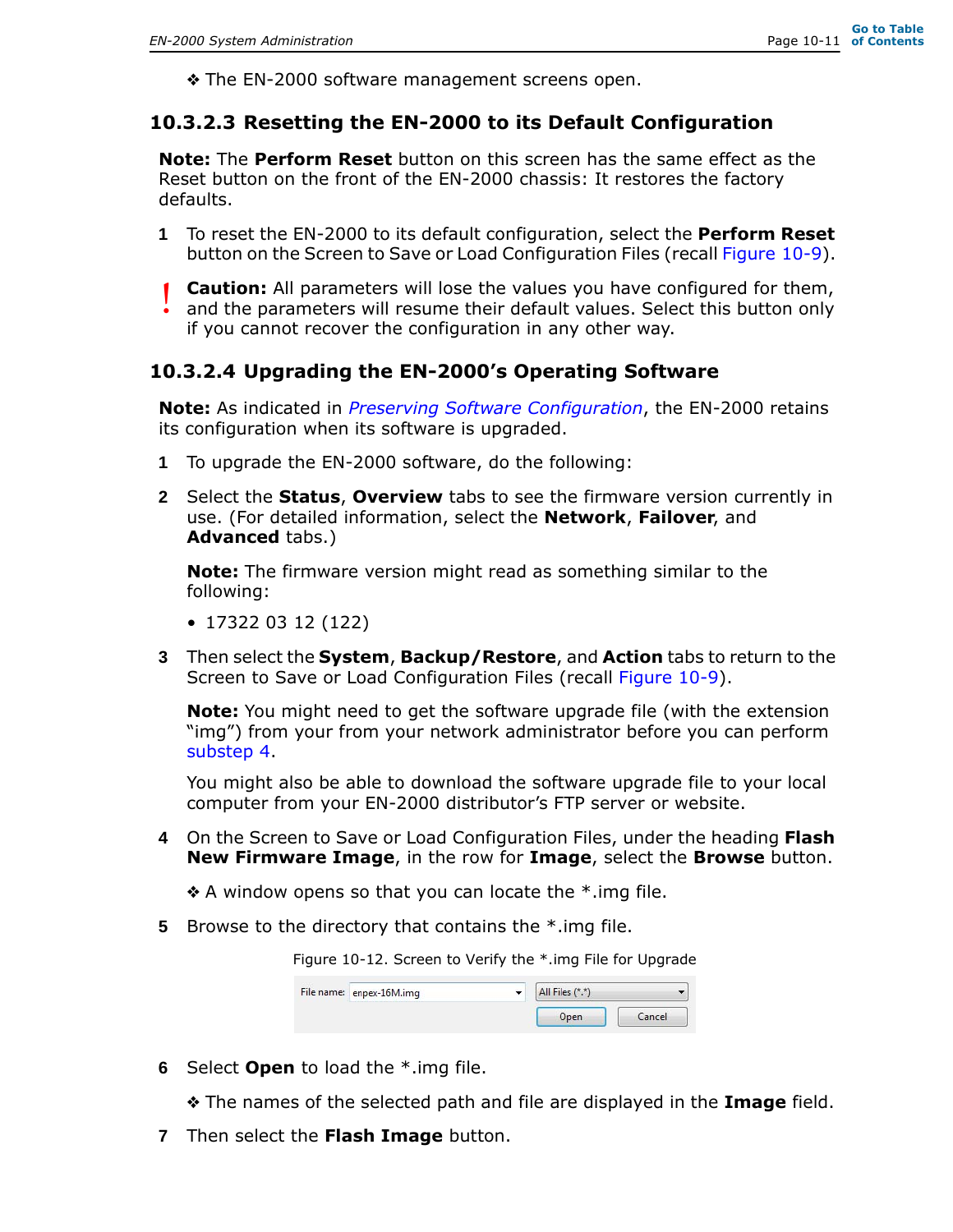❖ The EN-2000 software management screens open.

#### **10.3.2.3 Resetting the EN-2000 to its Default Configuration**

**Note:** The **Perform Reset** button on this screen has the same effect as the Reset button on the front of the EN-2000 chassis: It restores the factory defaults.

- **1** To reset the EN-2000 to its default configuration, select the **Perform Reset** button on the Screen to Save or Load Configuration Files (recall Figure 10-9).
- **Caution:** All parameters will lose the values you have configured for them, and the parameters will resume their default values. Select this button only if you cannot recover the configuration in any other way. !<br>!

#### **10.3.2.4 Upgrading the EN-2000's Operating Software**

**Note:** As indicated in *Preserving Software Configuration*, the EN-2000 retains its configuration when its software is upgraded.

- **1** To upgrade the EN-2000 software, do the following:
- **2** Select the **Status**, **Overview** tabs to see the firmware version currently in use. (For detailed information, select the **Network**, **Failover**, and **Advanced** tabs.)

**Note:** The firmware version might read as something similar to the following:

- 17322 03 12 (122)
- **3** Then select the **System**, **Backup/Restore**, and **Action** tabs to return to the Screen to Save or Load Configuration Files (recall Figure 10-9).

**Note:** You might need to get the software upgrade file (with the extension "img") from your from your network administrator before you can perform substep 4.

You might also be able to download the software upgrade file to your local computer from your EN-2000 distributor's FTP server or website.

**4** On the Screen to Save or Load Configuration Files, under the heading **Flash New Firmware Image**, in the row for **Image**, select the **Browse** button.

 $\triangle$  A window opens so that you can locate the  $*$  img file.

**5** Browse to the directory that contains the \*.img file.

Figure 10-12. Screen to Verify the \*.img File for Upgrade

| File name: enpex-16M.img | All Files (*.*)<br>-- |        |
|--------------------------|-----------------------|--------|
|                          | Open                  | Cancel |

**6** Select **Open** to load the \*.img file.

❖ The names of the selected path and file are displayed in the **Image** field.

**7** Then select the **Flash Image** button.